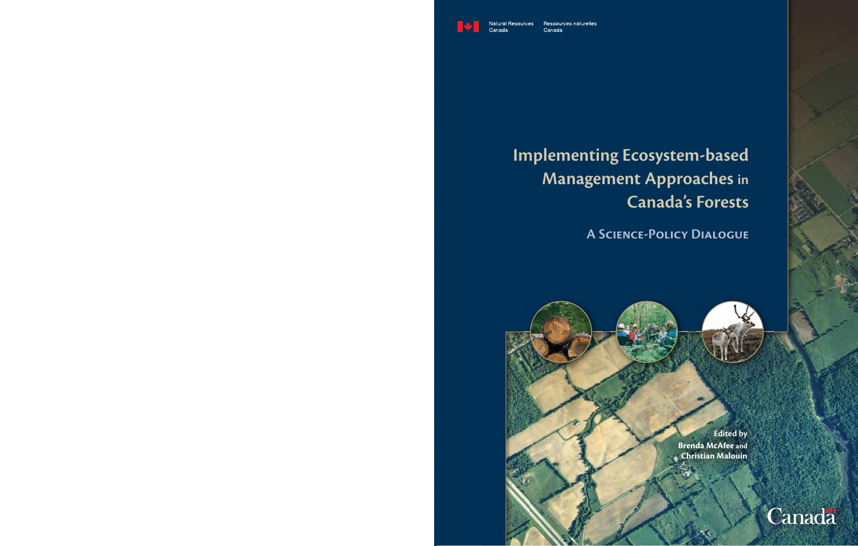

Canada

**Natural Resources** Ressources naturelles Canada

# **Implementing Ecosystem-based Management Approaches in Canada's Forests**

**A Science-Policy Dialogue**

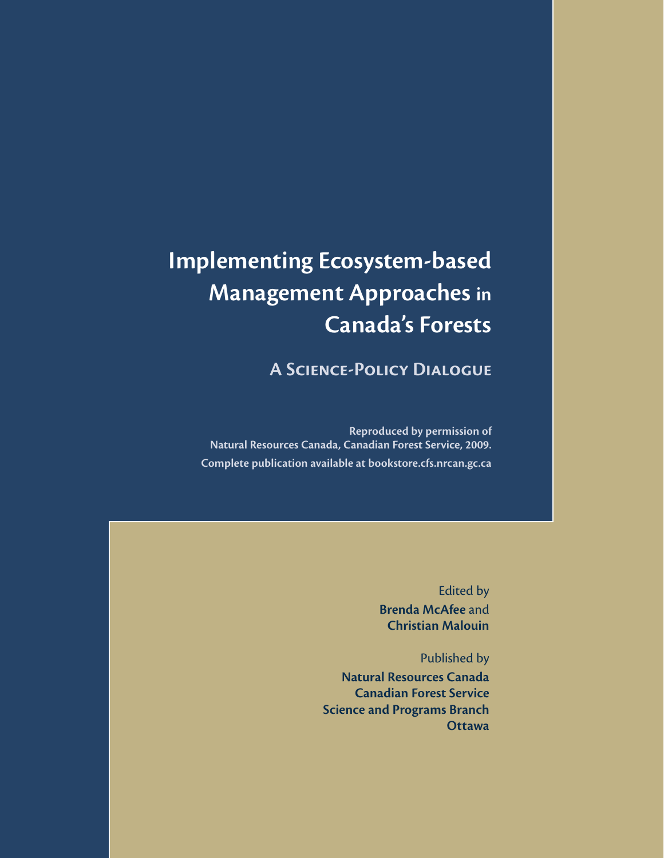# **Implementing Ecosystem-based Management Approaches in Canada's Forests**

**A Science-Policy Dialogue**

**Reproduced by permission of Natural Resources Canada, Canadian Forest Service, 2009. Complete publication available at [bookstore.cfs.nrcan.gc.ca](http://bookstore.cfs.nrcan.gc.ca/catalog_e.php?catalog=28282)**

> Edited by **Brenda McAfee** and **Christian Malouin**

> > Published by

**Natural Resources Canada Canadian Forest Service Science and Programs Branch Ottawa**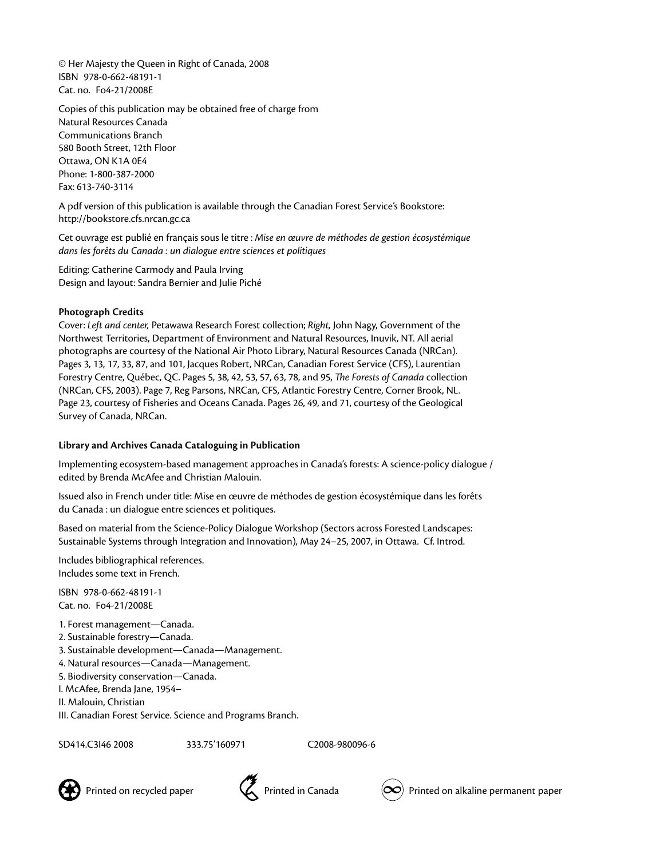© Her Majesty the Queen in Right of Canada, 2008 ISBN 978-0-662-48191-1 Cat. no. Fo4-21/2008E

Copies of this publication may be obtained free of charge from Natural Resources Canada Communications Branch 580 Booth Street, 12th Floor Ottawa, ON K1A 0E4 Phone: 1-800-387-2000 Fax: 613-740-3114

A pdf version of this publication is available through the Canadian Forest Service's Bookstore: http://bookstore.cfs.nrcan.gc.ca

Cet ouvrage est publié en français sous le titre : *Mise en œuvre de méthodes de gestion écosystémique dans les forêts du Canada : un dialogue entre sciences et politiques*

Editing: Catherine Carmody and Paula Irving Design and layout: Sandra Bernier and Julie Piché

#### **Photograph Credits**

Cover: *Left and center,* Petawawa Research Forest collection; *Right,* John Nagy, Government of the Northwest Territories, Department of Environment and Natural Resources, Inuvik, NT. All aerial photographs are courtesy of the National Air Photo Library, Natural Resources Canada (NRCan). Pages 3, 13, 17, 33, 87, and 101, Jacques Robert, NRCan, Canadian Forest Service (CFS), Laurentian Forestry Centre, Québec, QC. Pages 5, 38, 42, 53, 57, 63, 78, and 95, *The Forests of Canada* collection (NRCan, CFS, 2003). Page 7, Reg Parsons, NRCan, CFS, Atlantic Forestry Centre, Corner Brook, NL. Page 23, courtesy of Fisheries and Oceans Canada. Pages 26, 49, and 71, courtesy of the Geological Survey of Canada, NRCan.

#### **Library and Archives Canada Cataloguing in Publication**

Implementing ecosystem-based management approaches in Canada's forests: A science-policy dialogue / edited by Brenda McAfee and Christian Malouin.

Issued also in French under title: Mise en œuvre de méthodes de gestion écosystémique dans les forêts du Canada : un dialogue entre sciences et politiques.

Based on material from the Science-Policy Dialogue Workshop (Sectors across Forested Landscapes: Sustainable Systems through Integration and Innovation), May 24–25, 2007, in Ottawa. Cf. Introd.

Includes bibliographical references. Includes some text in French.

ISBN 978-0-662-48191-1 Cat. no. Fo4-21/2008E

- 1. Forest management—Canada.
- 2. Sustainable forestry—Canada.
- 3. Sustainable development—Canada—Management.
- 4. Natural resources—Canada—Management.
- 5. Biodiversity conservation—Canada.
- I. McAfee, Brenda Jane, 1954–
- II. Malouin, Christian
- III. Canadian Forest Service. Science and Programs Branch.

SD414.C3I46 2008 333.75'160971 C2008-980096-6



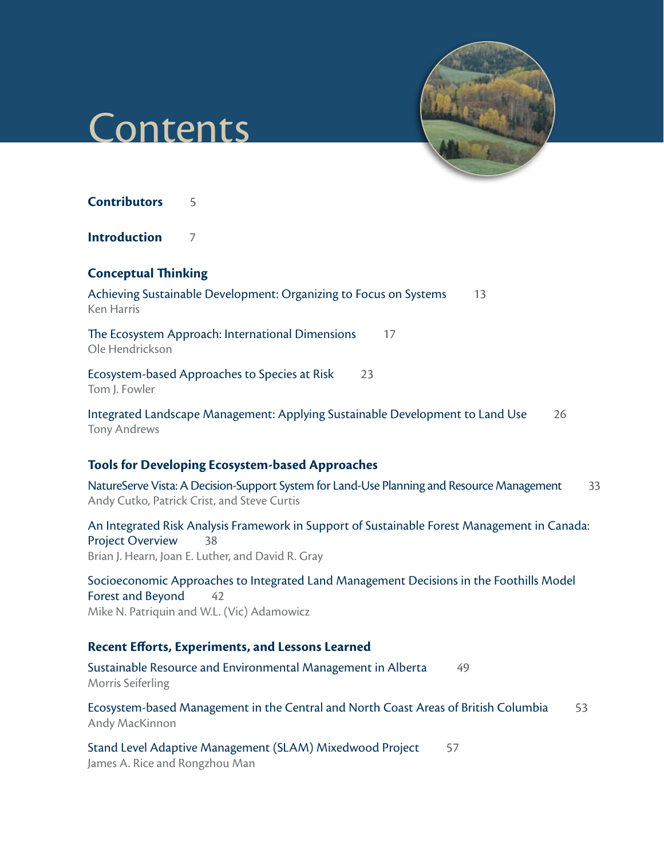



| <b>Contributors</b> |  |
|---------------------|--|
|---------------------|--|

**Introduction** 7

# **Conceptual Thinking**

Achieving Sustainable Development: Organizing to Focus on Systems 13 Ken Harris

The Ecosystem Approach: International Dimensions 17 Ole Hendrickson

Ecosystem-based Approaches to Species at Risk 23 Tom J. Fowler

Integrated Landscape Management: Applying Sustainable Development to Land Use 26 Tony Andrews

# **Tools for Developing Ecosystem-based Approaches**

NatureServe Vista: A Decision-Support System for Land-Use Planning and Resource Management 33 Andy Cutko, Patrick Crist, and Steve Curtis

An Integrated Risk Analysis Framework in Support of Sustainable Forest Management in Canada: Project Overview 38 Brian J. Hearn, Joan E. Luther, and David R. Gray

Socioeconomic Approaches to Integrated Land Management Decisions in the Foothills Model Forest and Beyond 42 Mike N. Patriquin and W.L. (Vic) Adamowicz

# **Recent Efforts, Experiments, and Lessons Learned**

Sustainable Resource and Environmental Management in Alberta 49 Morris Seiferling

Ecosystem-based Management in the Central and North Coast Areas of British Columbia 53 Andy MacKinnon

Stand Level Adaptive Management (SLAM) Mixedwood Project 57 James A. Rice and Rongzhou Man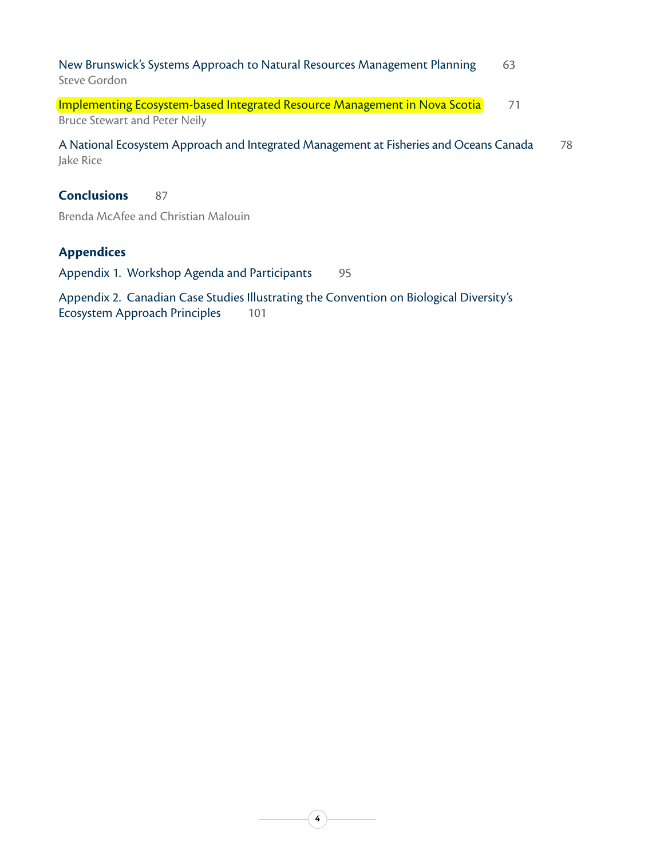New Brunswick's Systems Approach to Natural Resources Management Planning 63 Steve Gordon

[Implementing Ecosystem-based Integrated Resource Management in Nova Scotia 71](#page-5-0) Bruce Stewart and Peter Neily

A National Ecosystem Approach and Integrated Management at Fisheries and Oceans Canada 78 Jake Rice

# **Conclusions** 87

Brenda McAfee and Christian Malouin

# **Appendices**

Appendix 1. Workshop Agenda and Participants 95

Appendix 2. Canadian Case Studies Illustrating the Convention on Biological Diversity's Ecosystem Approach Principles 101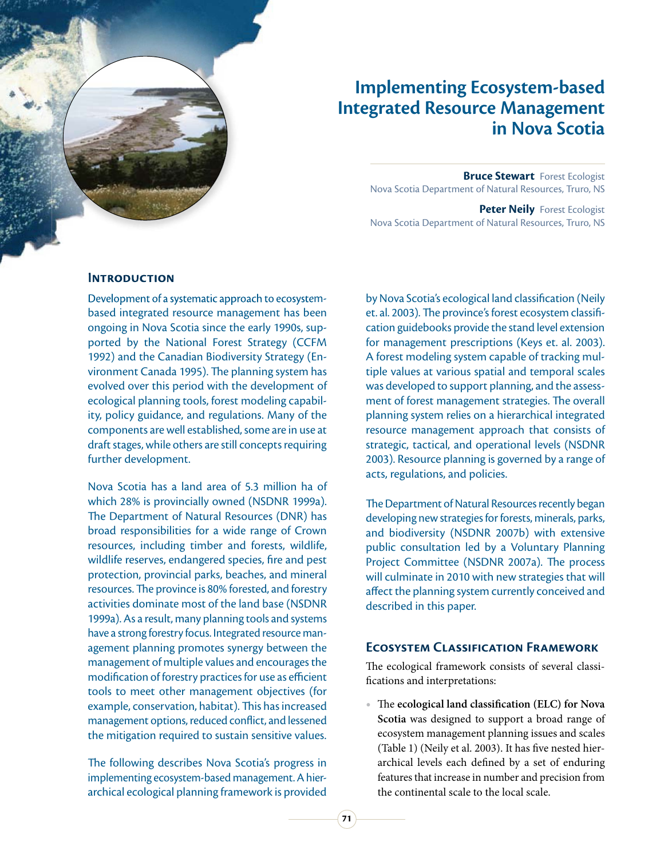<span id="page-5-0"></span>

# **Implementing Ecosystem-based Integrated Resource Management in Nova Scotia**

**Bruce Stewart** Forest Ecologist Nova Scotia Department of Natural Resources, Truro, NS

**Peter Neily** Forest Ecologist Nova Scotia Department of Natural Resources, Truro, NS

# **Introduction**

Development of a systematic approach to ecosystembased integrated resource management has been ongoing in Nova Scotia since the early 1990s, supported by the National Forest Strategy (CCFM 1992) and the Canadian Biodiversity Strategy (Environment Canada 1995). The planning system has evolved over this period with the development of ecological planning tools, forest modeling capability, policy guidance, and regulations. Many of the components are well established, some are in use at draft stages, while others are still concepts requiring further development.

Nova Scotia has a land area of 5.3 million ha of which 28% is provincially owned (NSDNR 1999a). The Department of Natural Resources (DNR) has broad responsibilities for a wide range of Crown resources, including timber and forests, wildlife, wildlife reserves, endangered species, fire and pest protection, provincial parks, beaches, and mineral resources. The province is 80% forested, and forestry activities dominate most of the land base (NSDNR 1999a). As a result, many planning tools and systems have a strong forestry focus. Integrated resource management planning promotes synergy between the management of multiple values and encourages the modification of forestry practices for use as efficient tools to meet other management objectives (for example, conservation, habitat). This has increased management options, reduced conflict, and lessened the mitigation required to sustain sensitive values.

The following describes Nova Scotia's progress in implementing ecosystem-based management. A hierarchical ecological planning framework is provided

by Nova Scotia's ecological land classification (Neily et. al. 2003). The province's forest ecosystem classification guidebooks provide the stand level extension for management prescriptions (Keys et. al. 2003). A forest modeling system capable of tracking multiple values at various spatial and temporal scales was developed to support planning, and the assessment of forest management strategies. The overall planning system relies on a hierarchical integrated resource management approach that consists of strategic, tactical, and operational levels (NSDNR 2003). Resource planning is governed by a range of acts, regulations, and policies.

The Department of Natural Resources recently began developing new strategies for forests, minerals, parks, and biodiversity (NSDNR 2007b) with extensive public consultation led by a Voluntary Planning Project Committee (NSDNR 2007a). The process will culminate in 2010 with new strategies that will affect the planning system currently conceived and described in this paper.

### **Ecosystem Classification Framework**

The ecological framework consists of several classifications and interpretations:

• The **ecological land classification (ELC) for Nova Scotia** was designed to support a broad range of ecosystem management planning issues and scales (Table 1) (Neily et al. 2003). It has five nested hierarchical levels each defined by a set of enduring features that increase in number and precision from the continental scale to the local scale.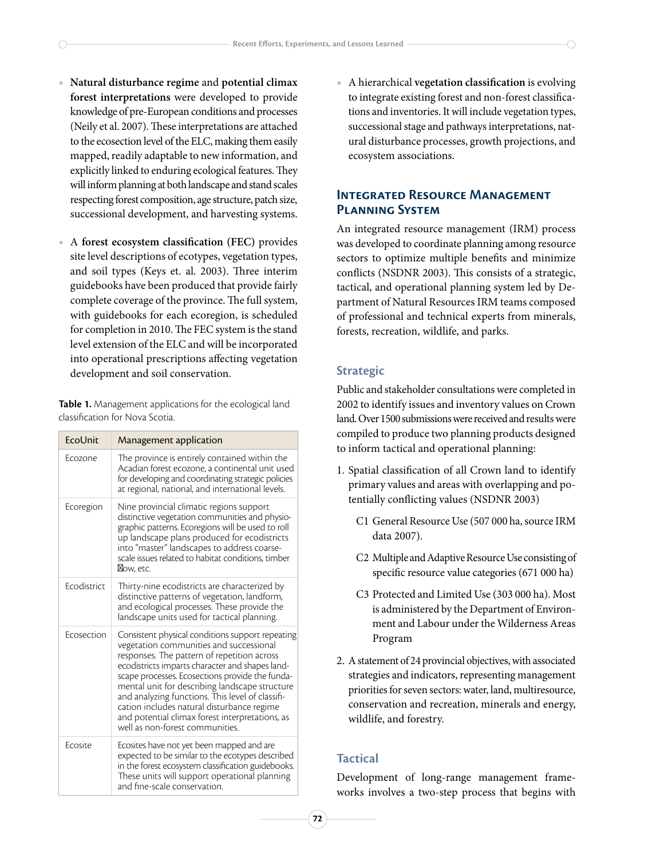- • **Natural disturbance regime** and **potential climax forest interpretations** were developed to provide knowledge of pre-European conditions and processes (Neily et al. 2007). These interpretations are attached to the ecosection level of the ELC, making them easily mapped, readily adaptable to new information, and explicitly linked to enduring ecological features. They will inform planning at both landscape and stand scales respecting forest composition, age structure, patch size, successional development, and harvesting systems.
- A forest ecosystem classification (FEC) provides site level descriptions of ecotypes, vegetation types, and soil types (Keys et. al. 2003). Three interim guidebooks have been produced that provide fairly complete coverage of the province. The full system, with guidebooks for each ecoregion, is scheduled for completion in 2010. The FEC system is the stand level extension of the ELC and will be incorporated into operational prescriptions affecting vegetation development and soil conservation.

**Table 1.** Management applications for the ecological land classification for Nova Scotia.

| EcoUnit     | Management application                                                                                                                                                                                                                                                                                                                                                                                                                                                                     |
|-------------|--------------------------------------------------------------------------------------------------------------------------------------------------------------------------------------------------------------------------------------------------------------------------------------------------------------------------------------------------------------------------------------------------------------------------------------------------------------------------------------------|
| Ecozone     | The province is entirely contained within the<br>Acadian forest ecozone, a continental unit used<br>for developing and coordinating strategic policies<br>at regional, national, and international levels.                                                                                                                                                                                                                                                                                 |
| Ecoregion   | Nine provincial climatic regions support<br>distinctive vegetation communities and physio-<br>graphic patterns. Ecoregions will be used to roll<br>up landscape plans produced for ecodistricts<br>into "master" landscapes to address coarse-<br>scale issues related to habitat conditions, timber<br>f ow. etc.                                                                                                                                                                         |
| Fcodistrict | Thirty-nine ecodistricts are characterized by<br>distinctive patterns of vegetation, landform,<br>and ecological processes. These provide the<br>landscape units used for tactical planning.                                                                                                                                                                                                                                                                                               |
| Fcosection  | Consistent physical conditions support repeating<br>vegetation communities and successional<br>responses. The pattern of repetition across<br>ecodistricts imparts character and shapes land-<br>scape processes. Ecosections provide the funda-<br>mental unit for describing landscape structure<br>and analyzing functions. This level of classifi-<br>cation includes natural disturbance regime<br>and potential climax forest interpretations, as<br>well as non-forest communities. |
| Ecosite     | Ecosites have not yet been mapped and are<br>expected to be similar to the ecotypes described<br>in the forest ecosystem classification guidebooks.<br>These units will support operational planning<br>and fine-scale conservation.                                                                                                                                                                                                                                                       |

• A hierarchical **vegetation classification** is evolving to integrate existing forest and non-forest classifications and inventories. It will include vegetation types, successional stage and pathways interpretations, natural disturbance processes, growth projections, and ecosystem associations.

# **INTEGRATED RESOURCE MANAGEMENT Planning System**

An integrated resource management (IRM) process was developed to coordinate planning among resource sectors to optimize multiple benefits and minimize conflicts (NSDNR 2003). This consists of a strategic, tactical, and operational planning system led by Department of Natural Resources IRM teams composed of professional and technical experts from minerals, forests, recreation, wildlife, and parks.

#### **Strategic**

Public and stakeholder consultations were completed in 2002 to identify issues and inventory values on Crown land. Over 1500 submissions were received and results were compiled to produce two planning products designed to inform tactical and operational planning:

- 1. Spatial classification of all Crown land to identify primary values and areas with overlapping and potentially conflicting values (NSDNR 2003)
	- C1 General Resource Use (507 000 ha, source IRM data 2007).
	- C2 Multiple and Adaptive Resource Use consisting of specific resource value categories (671 000 ha)
	- C3 Protected and Limited Use (303 000 ha). Most is administered by the Department of Environment and Labour under the Wilderness Areas Program
- 2. A statement of 24 provincial objectives, with associated strategies and indicators, representing management priorities for seven sectors: water, land, multiresource, conservation and recreation, minerals and energy, wildlife, and forestry.

# **Tactical**

Development of long-range management frameworks involves a two-step process that begins with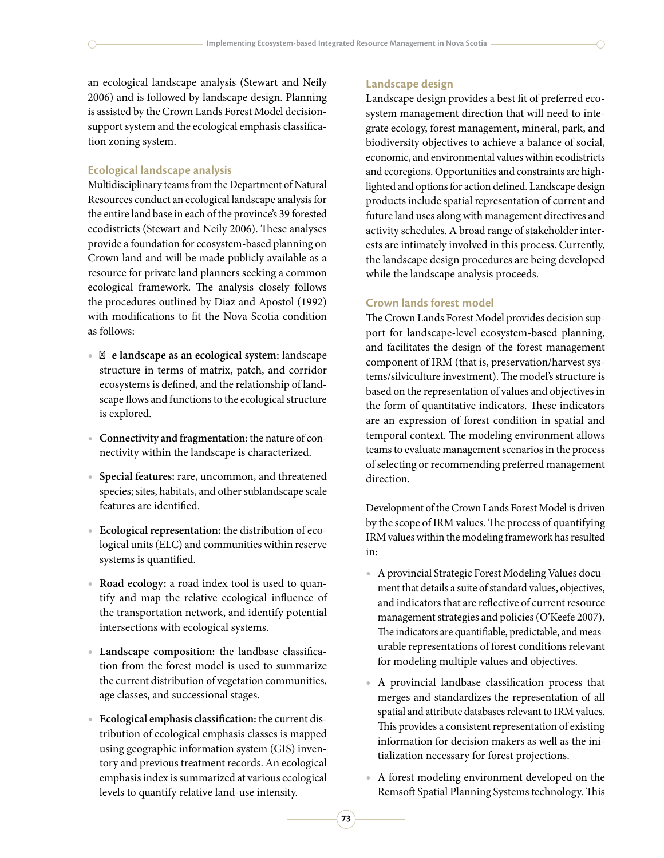an ecological landscape analysis (Stewart and Neily 2006) and is followed by landscape design. Planning is assisted by the Crown Lands Forest Model decisionsupport system and the ecological emphasis classification zoning system.

#### **Ecological landscape analysis**

Multidisciplinary teams from the Department of Natural Resources conduct an ecological landscape analysis for the entire land base in each of the province's 39 forested ecodistricts (Stewart and Neily 2006). These analyses provide a foundation for ecosystem-based planning on Crown land and will be made publicly available as a resource for private land planners seeking a common ecological framework. The analysis closely follows the procedures outlined by Diaz and Apostol (1992) with modifications to fit the Nova Scotia condition as follows:

- • **The landscape as an ecological system:** landscape structure in terms of matrix, patch, and corridor ecosystems is defined, and the relationship of landscape flows and functions to the ecological structure is explored.
- • **Connectivity and fragmentation:** the nature of connectivity within the landscape is characterized.
- Special features: rare, uncommon, and threatened species; sites, habitats, and other sublandscape scale features are identified.
- • **Ecological representation:** the distribution of ecological units (ELC) and communities within reserve systems is quantified.
- Road ecology: a road index tool is used to quantify and map the relative ecological influence of the transportation network, and identify potential intersections with ecological systems.
- **Landscape composition:** the landbase classification from the forest model is used to summarize the current distribution of vegetation communities, age classes, and successional stages.
- **Ecological emphasis classification:** the current distribution of ecological emphasis classes is mapped using geographic information system (GIS) inventory and previous treatment records. An ecological emphasis index is summarized at various ecological levels to quantify relative land-use intensity.

#### **Landscape design**

Landscape design provides a best fit of preferred ecosystem management direction that will need to integrate ecology, forest management, mineral, park, and biodiversity objectives to achieve a balance of social, economic, and environmental values within ecodistricts and ecoregions. Opportunities and constraints are highlighted and options for action defined. Landscape design products include spatial representation of current and future land uses along with management directives and activity schedules. A broad range of stakeholder interests are intimately involved in this process. Currently, the landscape design procedures are being developed while the landscape analysis proceeds.

### **Crown lands forest model**

The Crown Lands Forest Model provides decision support for landscape-level ecosystem-based planning, and facilitates the design of the forest management component of IRM (that is, preservation/harvest systems/silviculture investment). The model's structure is based on the representation of values and objectives in the form of quantitative indicators. These indicators are an expression of forest condition in spatial and temporal context. The modeling environment allows teams to evaluate management scenarios in the process of selecting or recommending preferred management direction.

Development of the Crown Lands Forest Model is driven by the scope of IRM values. The process of quantifying IRM values within the modeling framework has resulted in:

- • A provincial Strategic Forest Modeling Values document that details a suite of standard values, objectives, and indicators that are reflective of current resource management strategies and policies (O'Keefe 2007). The indicators are quantifiable, predictable, and measurable representations of forest conditions relevant for modeling multiple values and objectives.
- • A provincial landbase classification process that merges and standardizes the representation of all spatial and attribute databases relevant to IRM values. This provides a consistent representation of existing information for decision makers as well as the initialization necessary for forest projections.
- A forest modeling environment developed on the Remsoft Spatial Planning Systems technology. This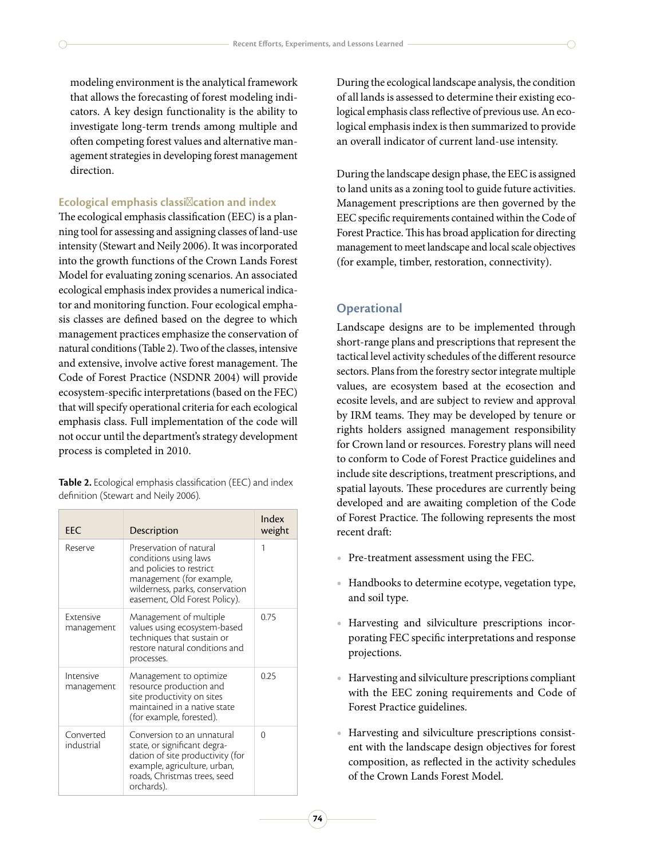modeling environment is the analytical framework that allows the forecasting of forest modeling indicators. A key design functionality is the ability to investigate long-term trends among multiple and often competing forest values and alternative management strategies in developing forest management direction.

#### **Ecological emphasis classif cation and index**

The ecological emphasis classification (EEC) is a planning tool for assessing and assigning classes of land-use intensity (Stewart and Neily 2006). It was incorporated into the growth functions of the Crown Lands Forest Model for evaluating zoning scenarios. An associated ecological emphasis index provides a numerical indicator and monitoring function. Four ecological emphasis classes are defined based on the degree to which management practices emphasize the conservation of natural conditions (Table 2). Two of the classes, intensive and extensive, involve active forest management. The Code of Forest Practice (NSDNR 2004) will provide ecosystem-specific interpretations (based on the FEC) that will specify operational criteria for each ecological emphasis class. Full implementation of the code will not occur until the department's strategy development process is completed in 2010.

**Table 2.** Ecological emphasis classification (EEC) and index definition (Stewart and Neily 2006).

| <b>EEC</b>              | Description                                                                                                                                                                  | Index<br>weight |
|-------------------------|------------------------------------------------------------------------------------------------------------------------------------------------------------------------------|-----------------|
| Reserve                 | Preservation of natural<br>conditions using laws<br>and policies to restrict<br>management (for example,<br>wilderness, parks, conservation<br>easement, Old Forest Policy). | 1               |
| Extensive<br>management | Management of multiple<br>values using ecosystem-based<br>techniques that sustain or<br>restore natural conditions and<br>processes.                                         | 0.75            |
| Intensive<br>management | Management to optimize<br>resource production and<br>site productivity on sites<br>maintained in a native state<br>(for example, forested).                                  | 0.25            |
| Converted<br>industrial | Conversion to an unnatural<br>state, or significant degra-<br>dation of site productivity (for<br>example, agriculture, urban,<br>roads, Christmas trees, seed<br>orchards). | $\Omega$        |

During the ecological landscape analysis, the condition of all lands is assessed to determine their existing ecological emphasis class reflective of previous use. An ecological emphasis index is then summarized to provide an overall indicator of current land-use intensity.

During the landscape design phase, the EEC is assigned to land units as a zoning tool to guide future activities. Management prescriptions are then governed by the EEC specific requirements contained within the Code of Forest Practice. This has broad application for directing management to meet landscape and local scale objectives (for example, timber, restoration, connectivity).

#### **Operational**

Landscape designs are to be implemented through short-range plans and prescriptions that represent the tactical level activity schedules of the different resource sectors. Plans from the forestry sector integrate multiple values, are ecosystem based at the ecosection and ecosite levels, and are subject to review and approval by IRM teams. They may be developed by tenure or rights holders assigned management responsibility for Crown land or resources. Forestry plans will need to conform to Code of Forest Practice guidelines and include site descriptions, treatment prescriptions, and spatial layouts. These procedures are currently being developed and are awaiting completion of the Code of Forest Practice. The following represents the most recent draft:

- Pre-treatment assessment using the FEC.
- • Handbooks to determine ecotype, vegetation type, and soil type.
- • Harvesting and silviculture prescriptions incorporating FEC specific interpretations and response projections.
- • Harvesting and silviculture prescriptions compliant with the EEC zoning requirements and Code of Forest Practice guidelines.
- Harvesting and silviculture prescriptions consistent with the landscape design objectives for forest composition, as reflected in the activity schedules of the Crown Lands Forest Model.

**74**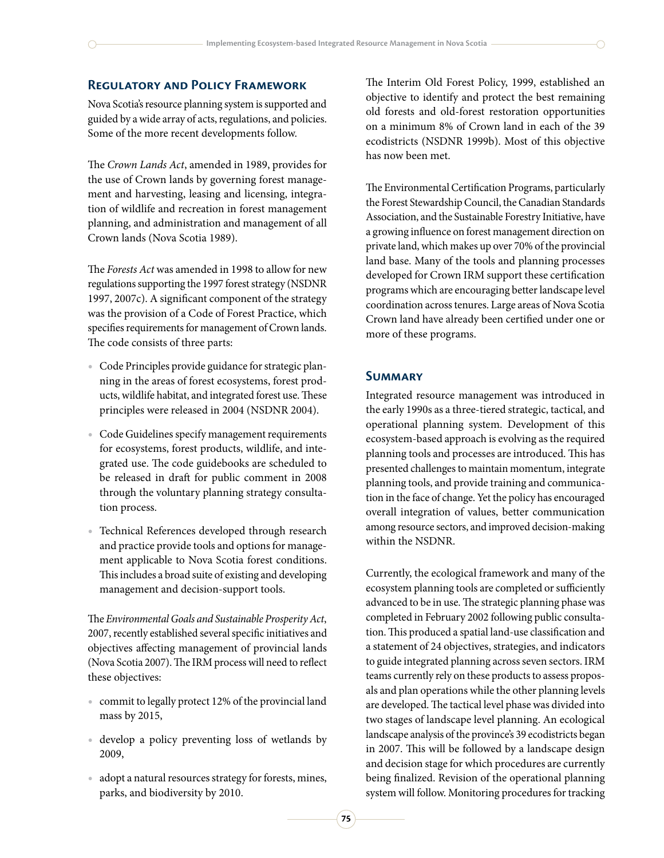## **Regulatory and Policy Framework**

Nova Scotia's resource planning system is supported and guided by a wide array of acts, regulations, and policies. Some of the more recent developments follow.

The *Crown Lands Act*, amended in 1989, provides for the use of Crown lands by governing forest management and harvesting, leasing and licensing, integration of wildlife and recreation in forest management planning, and administration and management of all Crown lands (Nova Scotia 1989).

The *Forests Act* was amended in 1998 to allow for new regulations supporting the 1997 forest strategy (NSDNR 1997, 2007c). A significant component of the strategy was the provision of a Code of Forest Practice, which specifies requirements for management of Crown lands. The code consists of three parts:

- • Code Principles provide guidance for strategic planning in the areas of forest ecosystems, forest products, wildlife habitat, and integrated forest use. These principles were released in 2004 (NSDNR 2004).
- Code Guidelines specify management requirements for ecosystems, forest products, wildlife, and integrated use. The code guidebooks are scheduled to be released in draft for public comment in 2008 through the voluntary planning strategy consultation process.
- Technical References developed through research and practice provide tools and options for management applicable to Nova Scotia forest conditions. This includes a broad suite of existing and developing management and decision-support tools.

The *Environmental Goals and Sustainable Prosperity Act*, 2007, recently established several specific initiatives and objectives affecting management of provincial lands (Nova Scotia 2007). The IRM process will need to reflect these objectives:

- • commit to legally protect 12% of the provincial land mass by 2015,
- • develop a policy preventing loss of wetlands by 2009,
- adopt a natural resources strategy for forests, mines, parks, and biodiversity by 2010.

The Interim Old Forest Policy, 1999, established an objective to identify and protect the best remaining old forests and old-forest restoration opportunities on a minimum 8% of Crown land in each of the 39 ecodistricts (NSDNR 1999b). Most of this objective has now been met.

The Environmental Certification Programs, particularly the Forest Stewardship Council, the Canadian Standards Association, and the Sustainable Forestry Initiative, have a growing influence on forest management direction on private land, which makes up over 70% of the provincial land base. Many of the tools and planning processes developed for Crown IRM support these certification programs which are encouraging better landscape level coordination across tenures. Large areas of Nova Scotia Crown land have already been certified under one or more of these programs.

# **Summary**

Integrated resource management was introduced in the early 1990s as a three-tiered strategic, tactical, and operational planning system. Development of this ecosystem-based approach is evolving as the required planning tools and processes are introduced. This has presented challenges to maintain momentum, integrate planning tools, and provide training and communication in the face of change. Yet the policy has encouraged overall integration of values, better communication among resource sectors, and improved decision-making within the NSDNR.

Currently, the ecological framework and many of the ecosystem planning tools are completed or sufficiently advanced to be in use. The strategic planning phase was completed in February 2002 following public consultation. This produced a spatial land-use classification and a statement of 24 objectives, strategies, and indicators to guide integrated planning across seven sectors. IRM teams currently rely on these products to assess proposals and plan operations while the other planning levels are developed. The tactical level phase was divided into two stages of landscape level planning. An ecological landscape analysis of the province's 39 ecodistricts began in 2007. This will be followed by a landscape design and decision stage for which procedures are currently being finalized. Revision of the operational planning system will follow. Monitoring procedures for tracking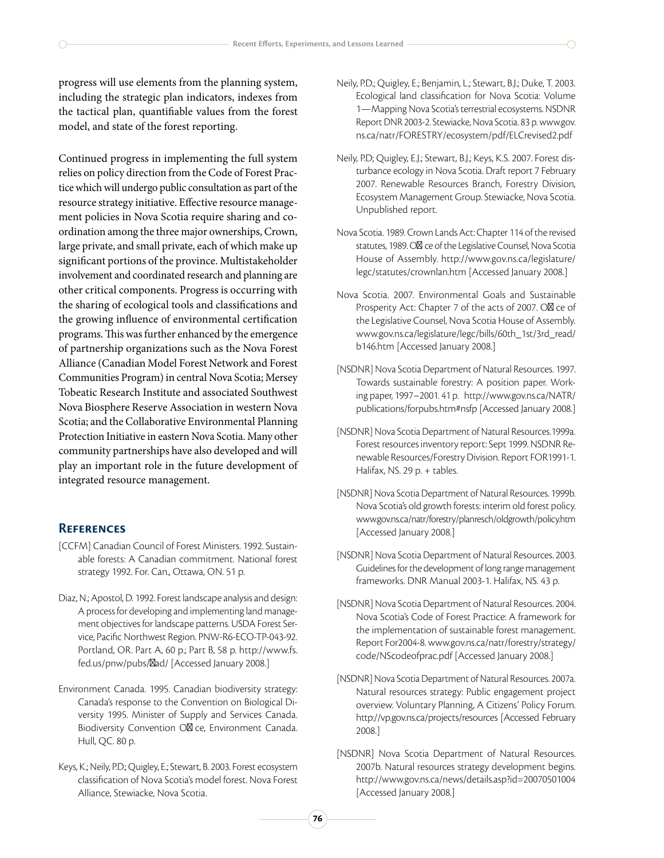progress will use elements from the planning system, including the strategic plan indicators, indexes from the tactical plan, quantifiable values from the forest model, and state of the forest reporting.

Continued progress in implementing the full system relies on policy direction from the Code of Forest Practice which will undergo public consultation as part of the resource strategy initiative. Effective resource management policies in Nova Scotia require sharing and coordination among the three major ownerships, Crown, large private, and small private, each of which make up significant portions of the province. Multistakeholder involvement and coordinated research and planning are other critical components. Progress is occurring with the sharing of ecological tools and classifications and the growing influence of environmental certification programs. This was further enhanced by the emergence of partnership organizations such as the Nova Forest Alliance (Canadian Model Forest Network and Forest Communities Program) in central Nova Scotia; Mersey Tobeatic Research Institute and associated Southwest Nova Biosphere Reserve Association in western Nova Scotia; and the Collaborative Environmental Planning Protection Initiative in eastern Nova Scotia. Many other community partnerships have also developed and will play an important role in the future development of integrated resource management.

#### **References**

- [CCFM] Canadian Council of Forest Ministers. 1992. Sustainable forests: A Canadian commitment. National forest strategy 1992. For. Can., Ottawa, ON. 51 p.
- Diaz, N.; Apostol, D. 1992. Forest landscape analysis and design: A process for developing and implementing land management objectives for landscape patterns. USDA Forest Service, Pacific Northwest Region. PNW-R6-ECO-TP-043-92. Portland, OR. Part A, 60 p.; Part B, 58 p. http://www.fs. fed.us/pnw/pubs/f ad/ [Accessed January 2008.]
- Environment Canada. 1995. Canadian biodiversity strategy: Canada's response to the Convention on Biological Diversity 1995. Minister of Supply and Services Canada. Biodiversity Convention Of ce, Environment Canada. Hull, QC. 80 p.
- Keys, K.; Neily, P.D.; Quigley, E.; Stewart, B. 2003. Forest ecosystem classification of Nova Scotia's model forest. Nova Forest Alliance, Stewiacke, Nova Scotia.
- Neily, P.D.; Quigley, E.; Benjamin, L.; Stewart, B.J.; Duke, T. 2003. Ecological land classification for Nova Scotia: Volume 1—Mapping Nova Scotia's terrestrial ecosystems. NSDNR Report DNR 2003-2. Stewiacke, Nova Scotia. 83 p. www.gov. ns.ca/natr/FORESTRY/ecosystem/pdf/ELCrevised2.pdf
- Neily, P.D; Quigley, E.J.; Stewart, B.J.; Keys, K.S. 2007. Forest disturbance ecology in Nova Scotia. Draft report 7 February 2007. Renewable Resources Branch, Forestry Division, Ecosystem Management Group. Stewiacke, Nova Scotia. Unpublished report.
- Nova Scotia. 1989. Crown Lands Act: Chapter 114 of the revised statutes, 1989. Of ce of the Legislative Counsel, Nova Scotia House of Assembly. http://www.gov.ns.ca/legislature/ legc/statutes/crownlan.htm [Accessed January 2008.]
- Nova Scotia. 2007. Environmental Goals and Sustainable Prosperity Act: Chapter 7 of the acts of 2007. Of ce of the Legislative Counsel, Nova Scotia House of Assembly. www.gov.ns.ca/legislature/legc/bills/60th\_1st/3rd\_read/ b146.htm [Accessed January 2008.]
- [NSDNR] Nova Scotia Department of Natural Resources. 1997. Towards sustainable forestry: A position paper. Working paper, 1997–2001. 41 p. http://www.gov.ns.ca/NATR/ publications/forpubs.htm#nsfp [Accessed January 2008.]
- [NSDNR] Nova Scotia Department of Natural Resources.1999a. Forest resources inventory report: Sept 1999. NSDNR Renewable Resources/Forestry Division. Report FOR1991-1. Halifax, NS. 29 p. + tables.
- [NSDNR] Nova Scotia Department of Natural Resources. 1999b. Nova Scotia's old growth forests: interim old forest policy. www.gov.ns.ca/natr/forestry/planresch/oldgrowth/policy.htm [Accessed January 2008.]
- [NSDNR] Nova Scotia Department of Natural Resources. 2003. Guidelines for the development of long range management frameworks. DNR Manual 2003-1. Halifax, NS. 43 p.
- [NSDNR] Nova Scotia Department of Natural Resources. 2004. Nova Scotia's Code of Forest Practice: A framework for the implementation of sustainable forest management. Report For2004-8. www.gov.ns.ca/natr/forestry/strategy/ code/NScodeofprac.pdf [Accessed January 2008.]
- [NSDNR] Nova Scotia Department of Natural Resources. 2007a. Natural resources strategy: Public engagement project overview. Voluntary Planning, A Citizens' Policy Forum. http://vp.gov.ns.ca/projects/resources [Accessed February 2008.]
- [NSDNR] Nova Scotia Department of Natural Resources. 2007b. Natural resources strategy development begins. http://www.gov.ns.ca/news/details.asp?id=20070501004 [Accessed January 2008.]